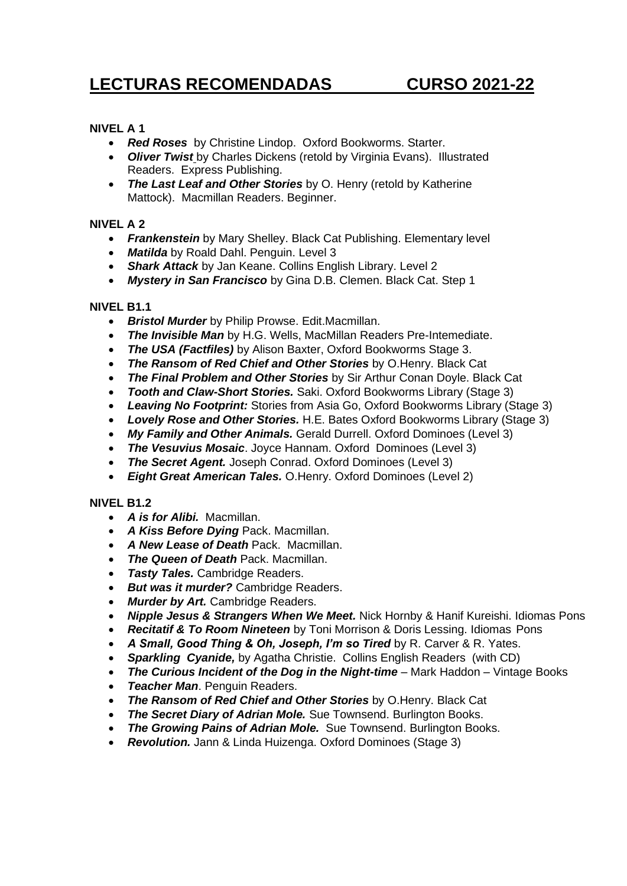# **LECTURAS RECOMENDADAS CURSO 2021-22**

## **NIVEL A 1**

- *Red Roses* by Christine Lindop. Oxford Bookworms. Starter.
- *Oliver Twist* by Charles Dickens (retold by Virginia Evans). Illustrated Readers. Express Publishing.
- *The Last Leaf and Other Stories* by O. Henry (retold by Katherine Mattock). Macmillan Readers. Beginner.

### **NIVEL A 2**

- *Frankenstein* by Mary Shelley. Black Cat Publishing. Elementary level
- *Matilda* by Roald Dahl. Penguin. Level 3
- *Shark Attack* by Jan Keane. Collins English Library. Level 2
- *Mystery in San Francisco* by Gina D.B. Clemen. Black Cat. Step 1

#### **NIVEL B1.1**

- *Bristol Murder* by Philip Prowse. Edit.Macmillan.
- *The Invisible Man* by H.G. Wells, MacMillan Readers Pre-Intemediate.
- *The USA (Factfiles)* by Alison Baxter, Oxford Bookworms Stage 3.
- *The Ransom of Red Chief and Other Stories* by O.Henry. Black Cat
- *The Final Problem and Other Stories* by Sir Arthur Conan Doyle. Black Cat
- *Tooth and Claw-Short Stories.* Saki. Oxford Bookworms Library (Stage 3)
- *Leaving No Footprint:* Stories from Asia Go, Oxford Bookworms Library (Stage 3)
- *Lovely Rose and Other Stories.* H.E. Bates Oxford Bookworms Library (Stage 3)
- *My Family and Other Animals.* Gerald Durrell. Oxford Dominoes (Level 3)
- *The Vesuvius Mosaic*. Joyce Hannam. Oxford Dominoes (Level 3)
- *The Secret Agent.* Joseph Conrad. Oxford Dominoes (Level 3)
- *Eight Great American Tales.* O.Henry. Oxford Dominoes (Level 2)

#### **NIVEL B1.2**

- *A is for Alibi.* Macmillan.
- *A Kiss Before Dying* Pack. Macmillan.
- *A New Lease of Death* Pack. Macmillan.
- *The Queen of Death* Pack. Macmillan.
- *Tasty Tales.* Cambridge Readers.
- *But was it murder?* Cambridge Readers.
- *Murder by Art.* Cambridge Readers.
- *Nipple Jesus & Strangers When We Meet.* Nick Hornby & Hanif Kureishi. Idiomas Pons
- *Recitatif & To Room Nineteen* by Toni Morrison & Doris Lessing. Idiomas Pons
- *A Small, Good Thing & Oh, Joseph, I'm so Tired* by R. Carver & R. Yates.
- *Sparkling Cyanide,* by Agatha Christie. Collins English Readers (with CD)
- **The Curious Incident of the Dog in the Night-time** Mark Haddon Vintage Books
- *Teacher Man*. Penguin Readers.
- *The Ransom of Red Chief and Other Stories* by O.Henry. Black Cat
- *The Secret Diary of Adrian Mole.* Sue Townsend. Burlington Books.
- *The Growing Pains of Adrian Mole.* Sue Townsend. Burlington Books.
- *Revolution.* Jann & Linda Huizenga. Oxford Dominoes (Stage 3)